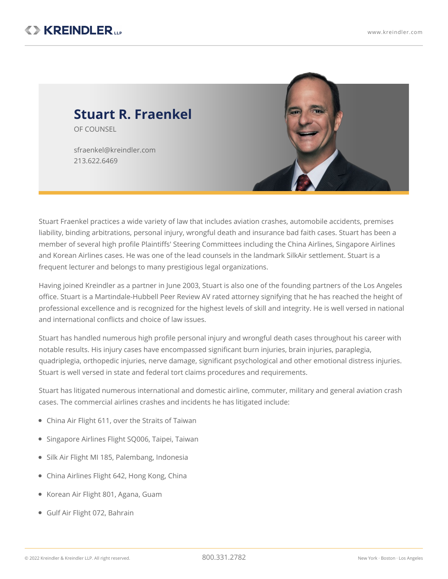

Stuart Fraenkel practices a wide variety of law that includes aviation crashes, automobile accidents, premises liability, binding arbitrations, personal injury, wrongful death and insurance bad faith cases. Stuart has been a member of several high profile Plaintiffs' Steering Committees including the China Airlines, Singapore Airlines and Korean Airlines cases. He was one of the lead counsels in the landmark SilkAir settlement. Stuart is a frequent lecturer and belongs to many prestigious legal organizations.

Having joined Kreindler as a partner in June 2003, Stuart is also one of the founding partners of the Los Angeles office. Stuart is a Martindale-Hubbell Peer Review AV rated attorney signifying that he has reached the height of professional excellence and is recognized for the highest levels of skill and integrity. He is well versed in national and international conflicts and choice of law issues.

Stuart has handled numerous high profile personal injury and wrongful death cases throughout his career with notable results. His injury cases have encompassed significant burn injuries, brain injuries, paraplegia, quadriplegia, orthopedic injuries, nerve damage, significant psychological and other emotional distress injuries. Stuart is well versed in state and federal tort claims procedures and requirements.

Stuart has litigated numerous international and domestic airline, commuter, military and general aviation crash cases. The commercial airlines crashes and incidents he has litigated include:

- China Air Flight 611, over the Straits of Taiwan
- Singapore Airlines Flight SQ006, Taipei, Taiwan
- Silk Air Flight MI 185, Palembang, Indonesia
- China Airlines Flight 642, Hong Kong, China
- Korean Air Flight 801, Agana, Guam
- Gulf Air Flight 072, Bahrain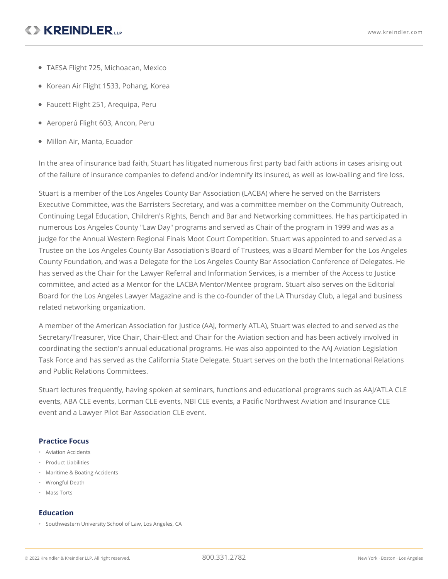# **<> KREINDLER...**

- TAESA Flight 725, Michoacan, Mexico
- Korean Air Flight 1533, Pohang, Korea
- Faucett Flight 251, Arequipa, Peru
- Aeroperú Flight 603, Ancon, Peru
- Millon Air, Manta, Ecuador

In the area of insurance bad faith, Stuart has litigated numerous first party bad faith actions in cases arising out of the failure of insurance companies to defend and/or indemnify its insured, as well as low-balling and fire loss.

Stuart is a member of the Los Angeles County Bar Association (LACBA) where he served on the Barristers Executive Committee, was the Barristers Secretary, and was a committee member on the Community Outreach, Continuing Legal Education, Children's Rights, Bench and Bar and Networking committees. He has participated in numerous Los Angeles County "Law Day" programs and served as Chair of the program in 1999 and was as a judge for the Annual Western Regional Finals Moot Court Competition. Stuart was appointed to and served as a Trustee on the Los Angeles County Bar Association's Board of Trustees, was a Board Member for the Los Angeles County Foundation, and was a Delegate for the Los Angeles County Bar Association Conference of Delegates. He has served as the Chair for the Lawyer Referral and Information Services, is a member of the Access to Justice committee, and acted as a Mentor for the LACBA Mentor/Mentee program. Stuart also serves on the Editorial Board for the Los Angeles Lawyer Magazine and is the co-founder of the LA Thursday Club, a legal and business related networking organization.

A member of the American Association for Justice (AAJ, formerly ATLA), Stuart was elected to and served as the Secretary/Treasurer, Vice Chair, Chair-Elect and Chair for the Aviation section and has been actively involved in coordinating the section's annual educational programs. He was also appointed to the AAJ Aviation Legislation Task Force and has served as the California State Delegate. Stuart serves on the both the International Relations and Public Relations Committees.

Stuart lectures frequently, having spoken at seminars, functions and educational programs such as AAJ/ATLA CLE events, ABA CLE events, Lorman CLE events, NBI CLE events, a Pacific Northwest Aviation and Insurance CLE event and a Lawyer Pilot Bar Association CLE event.

### **Practice Focus**

- Aviation Accidents
- Product Liabilities
- Maritime & Boating Accidents
- Wrongful Death
- Mass Torts

### **Education**

• Southwestern University School of Law, Los Angeles, CA